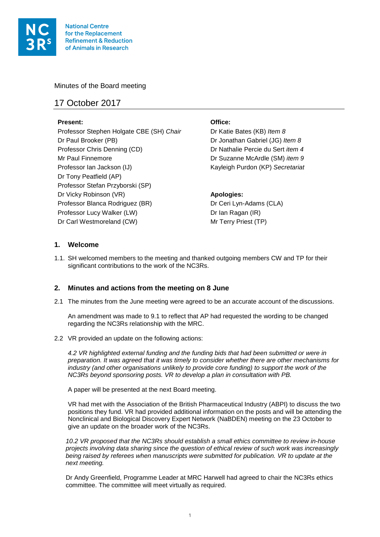

Minutes of the Board meeting

# 17 October 2017

## **Present: Office:**

Professor Stephen Holgate CBE (SH) *Chair* Dr Katie Bates (KB) *Item 8* Dr Paul Brooker (PB) Dr Jonathan Gabriel (JG) *Item 8* Professor Chris Denning (CD) Dr Nathalie Percie du Sert *item 4* Mr Paul Finnemore Dr Suzanne McArdle (SM) *item 9* Professor Ian Jackson (IJ) Kayleigh Purdon (KP) *Secretariat* Dr Tony Peatfield (AP) Professor Stefan Przyborski (SP) Dr Vicky Robinson (VR) **Apologies:**  Professor Blanca Rodriguez (BR) Dr Ceri Lyn-Adams (CLA) Professor Lucy Walker (LW) Dr Ian Ragan (IR) Dr Carl Westmoreland (CW) Mr Terry Priest (TP)

## **1. Welcome**

1.1. SH welcomed members to the meeting and thanked outgoing members CW and TP for their significant contributions to the work of the NC3Rs.

## **2. Minutes and actions from the meeting on 8 June**

2.1 The minutes from the June meeting were agreed to be an accurate account of the discussions.

An amendment was made to 9.1 to reflect that AP had requested the wording to be changed regarding the NC3Rs relationship with the MRC.

2.2 VR provided an update on the following actions:

*4.2 VR highlighted external funding and the funding bids that had been submitted or were in preparation. It was agreed that it was timely to consider whether there are other mechanisms for industry (and other organisations unlikely to provide core funding) to support the work of the NC3Rs beyond sponsoring posts. VR to develop a plan in consultation with PB.* 

A paper will be presented at the next Board meeting.

VR had met with the Association of the British Pharmaceutical Industry (ABPI) to discuss the two positions they fund. VR had provided additional information on the posts and will be attending the Nonclinical and Biological Discovery Expert Network (NaBDEN) meeting on the 23 October to give an update on the broader work of the NC3Rs.

*10.2 VR proposed that the NC3Rs should establish a small ethics committee to review in-house projects involving data sharing since the question of ethical review of such work was increasingly being raised by referees when manuscripts were submitted for publication. VR to update at the next meeting.* 

Dr Andy Greenfield, Programme Leader at MRC Harwell had agreed to chair the NC3Rs ethics committee. The committee will meet virtually as required.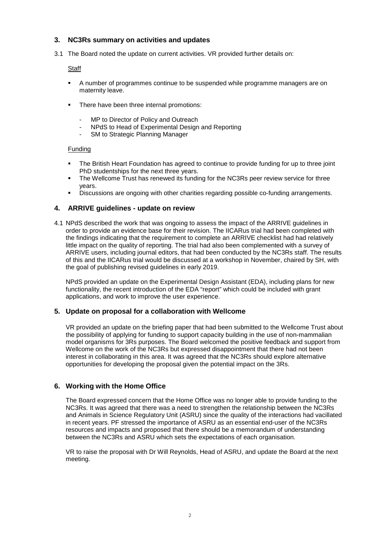## **3. NC3Rs summary on activities and updates**

3.1 The Board noted the update on current activities. VR provided further details on:

#### **Staff**

- A number of programmes continue to be suspended while programme managers are on maternity leave.
- There have been three internal promotions:
	- MP to Director of Policy and Outreach
	- NPdS to Head of Experimental Design and Reporting
	- SM to Strategic Planning Manager

## Funding

- The British Heart Foundation has agreed to continue to provide funding for up to three joint PhD studentships for the next three years.
- The Wellcome Trust has renewed its funding for the NC3Rs peer review service for three years.
- Discussions are ongoing with other charities regarding possible co-funding arrangements.

## **4. ARRIVE guidelines - update on review**

4.1 NPdS described the work that was ongoing to assess the impact of the ARRIVE guidelines in order to provide an evidence base for their revision. The IICARus trial had been completed with the findings indicating that the requirement to complete an ARRIVE checklist had had relatively little impact on the quality of reporting. The trial had also been complemented with a survey of ARRIVE users, including journal editors, that had been conducted by the NC3Rs staff. The results of this and the IICARus trial would be discussed at a workshop in November, chaired by SH, with the goal of publishing revised guidelines in early 2019.

NPdS provided an update on the Experimental Design Assistant (EDA), including plans for new functionality, the recent introduction of the EDA "report" which could be included with grant applications, and work to improve the user experience.

## **5. Update on proposal for a collaboration with Wellcome**

VR provided an update on the briefing paper that had been submitted to the Wellcome Trust about the possibility of applying for funding to support capacity building in the use of non-mammalian model organisms for 3Rs purposes. The Board welcomed the positive feedback and support from Wellcome on the work of the NC3Rs but expressed disappointment that there had not been interest in collaborating in this area. It was agreed that the NC3Rs should explore alternative opportunities for developing the proposal given the potential impact on the 3Rs.

## **6. Working with the Home Office**

The Board expressed concern that the Home Office was no longer able to provide funding to the NC3Rs. It was agreed that there was a need to strengthen the relationship between the NC3Rs and Animals in Science Regulatory Unit (ASRU) since the quality of the interactions had vacillated in recent years. PF stressed the importance of ASRU as an essential end-user of the NC3Rs resources and impacts and proposed that there should be a memorandum of understanding between the NC3Rs and ASRU which sets the expectations of each organisation.

VR to raise the proposal with Dr Will Reynolds, Head of ASRU, and update the Board at the next meeting.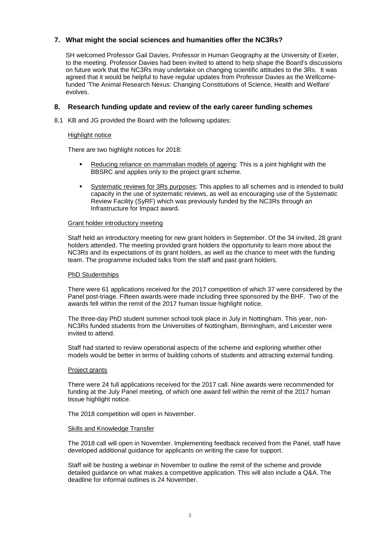## **7. What might the social sciences and humanities offer the NC3Rs?**

SH welcomed Professor Gail Davies, Professor in Human Geography at the University of Exeter, to the meeting. Professor Davies had been invited to attend to help shape the Board's discussions on future work that the NC3Rs may undertake on changing scientific attitudes to the 3Rs. It was agreed that it would be helpful to have regular updates from Professor Davies as the Wellcomefunded 'The Animal Research Nexus: Changing Constitutions of Science, Health and Welfare' evolves.

#### **8. Research funding update and review of the early career funding schemes**

8.1 KB and JG provided the Board with the following updates:

#### Highlight notice

There are two highlight notices for 2018:

- Reducing reliance on mammalian models of ageing: This is a joint highlight with the BBSRC and applies only to the project grant scheme.
- Systematic reviews for 3Rs purposes: This applies to all schemes and is intended to build capacity in the use of systematic reviews, as well as encouraging use of the Systematic Review Facility (SyRF) which was previously funded by the NC3Rs through an Infrastructure for Impact award.

#### Grant holder introductory meeting

Staff held an introductory meeting for new grant holders in September. Of the 34 invited, 28 grant holders attended. The meeting provided grant holders the opportunity to learn more about the NC3Rs and its expectations of its grant holders, as well as the chance to meet with the funding team. The programme included talks from the staff and past grant holders.

#### **PhD Studentships**

There were 61 applications received for the 2017 competition of which 37 were considered by the Panel post-triage. Fifteen awards were made including three sponsored by the BHF. Two of the awards fell within the remit of the 2017 human tissue highlight notice.

The three-day PhD student summer school took place in July in Nottingham. This year, non-NC3Rs funded students from the Universities of Nottingham, Birmingham, and Leicester were invited to attend.

Staff had started to review operational aspects of the scheme and exploring whether other models would be better in terms of building cohorts of students and attracting external funding.

#### Project grants

There were 24 full applications received for the 2017 call. Nine awards were recommended for funding at the July Panel meeting, of which one award fell within the remit of the 2017 human tissue highlight notice.

The 2018 competition will open in November.

#### Skills and Knowledge Transfer

The 2018 call will open in November. Implementing feedback received from the Panel, staff have developed additional guidance for applicants on writing the case for support.

Staff will be hosting a webinar in November to outline the remit of the scheme and provide detailed guidance on what makes a competitive application. This will also include a Q&A. The deadline for informal outlines is 24 November.